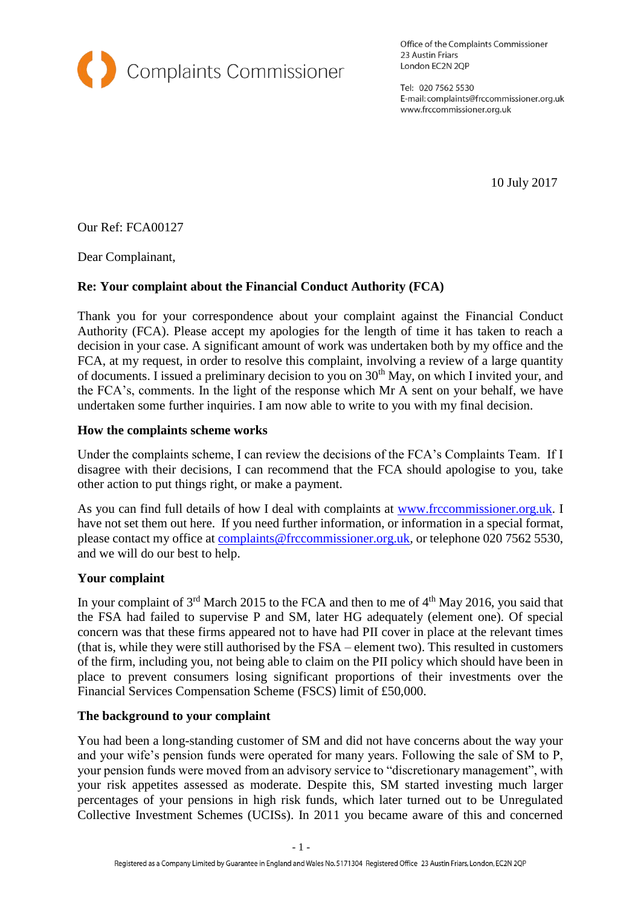

Office of the Complaints Commissioner 23 Austin Friars London EC2N 2QP

Tel: 020 7562 5530 E-mail: complaints@frccommissioner.org.uk www.frccommissioner.org.uk

10 July 2017

Our Ref: FCA00127

Dear Complainant,

# **Re: Your complaint about the Financial Conduct Authority (FCA)**

Thank you for your correspondence about your complaint against the Financial Conduct Authority (FCA). Please accept my apologies for the length of time it has taken to reach a decision in your case. A significant amount of work was undertaken both by my office and the FCA, at my request, in order to resolve this complaint, involving a review of a large quantity of documents. I issued a preliminary decision to you on  $30<sup>th</sup>$  May, on which I invited your, and the FCA's, comments. In the light of the response which Mr A sent on your behalf, we have undertaken some further inquiries. I am now able to write to you with my final decision.

## **How the complaints scheme works**

Under the complaints scheme, I can review the decisions of the FCA's Complaints Team. If I disagree with their decisions, I can recommend that the FCA should apologise to you, take other action to put things right, or make a payment.

As you can find full details of how I deal with complaints at [www.frccommissioner.org.uk.](http://www.frccommissioner.org.uk/) I have not set them out here. If you need further information, or information in a special format, please contact my office at [complaints@frccommissioner.org.uk,](mailto:complaints@frccommissioner.org.uk) or telephone 020 7562 5530, and we will do our best to help.

### **Your complaint**

In your complaint of  $3<sup>rd</sup>$  March 2015 to the FCA and then to me of  $4<sup>th</sup>$  May 2016, you said that the FSA had failed to supervise P and SM, later HG adequately (element one). Of special concern was that these firms appeared not to have had PII cover in place at the relevant times (that is, while they were still authorised by the FSA – element two). This resulted in customers of the firm, including you, not being able to claim on the PII policy which should have been in place to prevent consumers losing significant proportions of their investments over the Financial Services Compensation Scheme (FSCS) limit of £50,000.

### **The background to your complaint**

You had been a long-standing customer of SM and did not have concerns about the way your and your wife's pension funds were operated for many years. Following the sale of SM to P, your pension funds were moved from an advisory service to "discretionary management", with your risk appetites assessed as moderate. Despite this, SM started investing much larger percentages of your pensions in high risk funds, which later turned out to be Unregulated Collective Investment Schemes (UCISs). In 2011 you became aware of this and concerned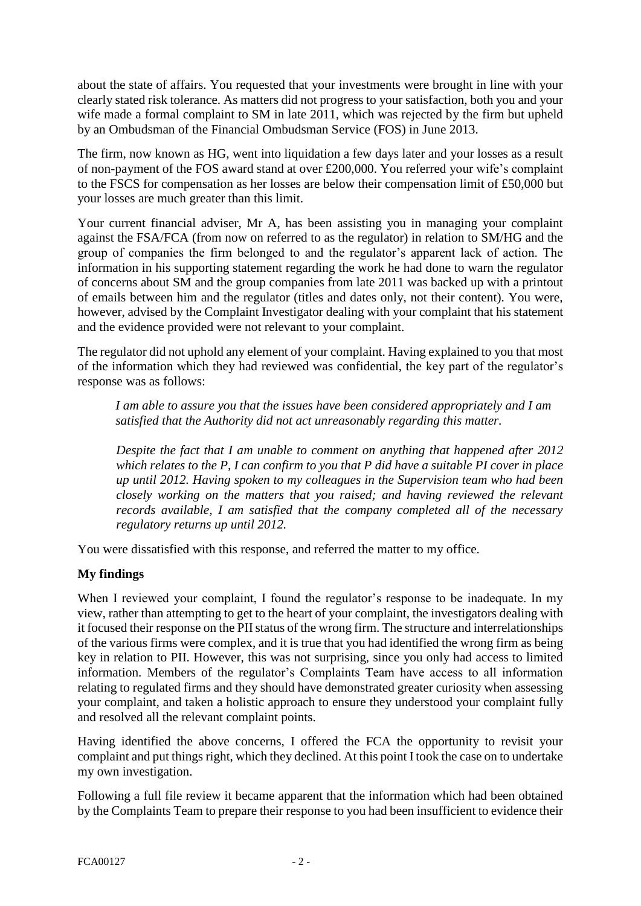about the state of affairs. You requested that your investments were brought in line with your clearly stated risk tolerance. As matters did not progress to your satisfaction, both you and your wife made a formal complaint to SM in late 2011, which was rejected by the firm but upheld by an Ombudsman of the Financial Ombudsman Service (FOS) in June 2013.

The firm, now known as HG, went into liquidation a few days later and your losses as a result of non-payment of the FOS award stand at over £200,000. You referred your wife's complaint to the FSCS for compensation as her losses are below their compensation limit of £50,000 but your losses are much greater than this limit.

Your current financial adviser, Mr A, has been assisting you in managing your complaint against the FSA/FCA (from now on referred to as the regulator) in relation to SM/HG and the group of companies the firm belonged to and the regulator's apparent lack of action. The information in his supporting statement regarding the work he had done to warn the regulator of concerns about SM and the group companies from late 2011 was backed up with a printout of emails between him and the regulator (titles and dates only, not their content). You were, however, advised by the Complaint Investigator dealing with your complaint that his statement and the evidence provided were not relevant to your complaint.

The regulator did not uphold any element of your complaint. Having explained to you that most of the information which they had reviewed was confidential, the key part of the regulator's response was as follows:

*I am able to assure you that the issues have been considered appropriately and I am satisfied that the Authority did not act unreasonably regarding this matter.*

*Despite the fact that I am unable to comment on anything that happened after 2012 which relates to the P, I can confirm to you that P did have a suitable PI cover in place up until 2012. Having spoken to my colleagues in the Supervision team who had been closely working on the matters that you raised; and having reviewed the relevant records available, I am satisfied that the company completed all of the necessary regulatory returns up until 2012.* 

You were dissatisfied with this response, and referred the matter to my office.

### **My findings**

When I reviewed your complaint, I found the regulator's response to be inadequate. In my view, rather than attempting to get to the heart of your complaint, the investigators dealing with it focused their response on the PII status of the wrong firm. The structure and interrelationships of the various firms were complex, and it is true that you had identified the wrong firm as being key in relation to PII. However, this was not surprising, since you only had access to limited information. Members of the regulator's Complaints Team have access to all information relating to regulated firms and they should have demonstrated greater curiosity when assessing your complaint, and taken a holistic approach to ensure they understood your complaint fully and resolved all the relevant complaint points.

Having identified the above concerns, I offered the FCA the opportunity to revisit your complaint and put things right, which they declined. At this point I took the case on to undertake my own investigation.

Following a full file review it became apparent that the information which had been obtained by the Complaints Team to prepare their response to you had been insufficient to evidence their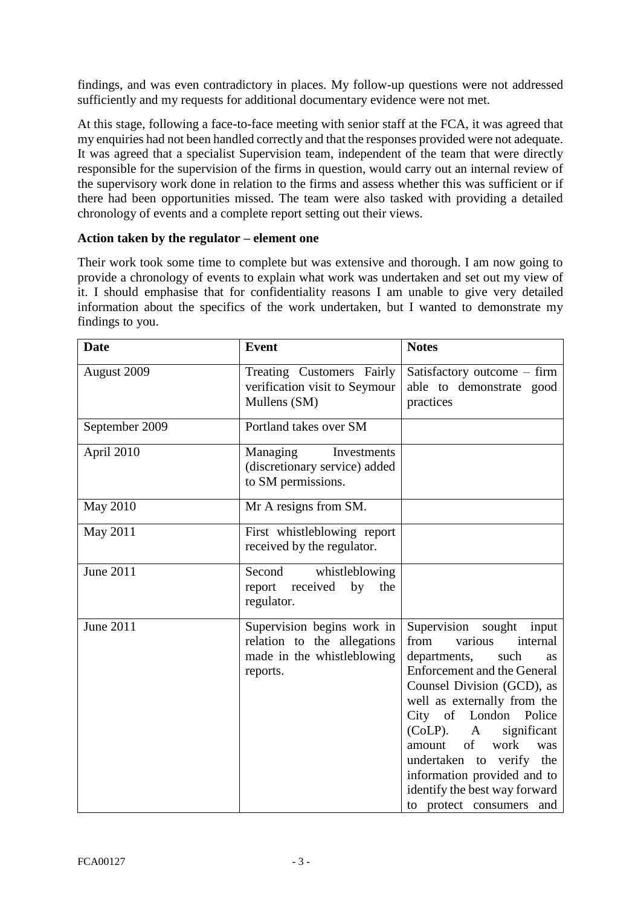findings, and was even contradictory in places. My follow-up questions were not addressed sufficiently and my requests for additional documentary evidence were not met.

At this stage, following a face-to-face meeting with senior staff at the FCA, it was agreed that my enquiries had not been handled correctly and that the responses provided were not adequate. It was agreed that a specialist Supervision team, independent of the team that were directly responsible for the supervision of the firms in question, would carry out an internal review of the supervisory work done in relation to the firms and assess whether this was sufficient or if there had been opportunities missed. The team were also tasked with providing a detailed chronology of events and a complete report setting out their views.

#### **Action taken by the regulator – element one**

Their work took some time to complete but was extensive and thorough. I am now going to provide a chronology of events to explain what work was undertaken and set out my view of it. I should emphasise that for confidentiality reasons I am unable to give very detailed information about the specifics of the work undertaken, but I wanted to demonstrate my findings to you.

| <b>Date</b>      | <b>Event</b>                                                                                        | <b>Notes</b>                                                                                                                                                                                                                                                                                                                                                                                                     |
|------------------|-----------------------------------------------------------------------------------------------------|------------------------------------------------------------------------------------------------------------------------------------------------------------------------------------------------------------------------------------------------------------------------------------------------------------------------------------------------------------------------------------------------------------------|
| August 2009      | Treating Customers Fairly<br>verification visit to Seymour<br>Mullens (SM)                          | Satisfactory outcome – firm<br>able to demonstrate good<br>practices                                                                                                                                                                                                                                                                                                                                             |
| September 2009   | Portland takes over SM                                                                              |                                                                                                                                                                                                                                                                                                                                                                                                                  |
| April 2010       | Managing<br>Investments<br>(discretionary service) added<br>to SM permissions.                      |                                                                                                                                                                                                                                                                                                                                                                                                                  |
| <b>May 2010</b>  | Mr A resigns from SM.                                                                               |                                                                                                                                                                                                                                                                                                                                                                                                                  |
| May 2011         | First whistleblowing report<br>received by the regulator.                                           |                                                                                                                                                                                                                                                                                                                                                                                                                  |
| <b>June 2011</b> | Second<br>whistleblowing<br>report received<br>by<br>the<br>regulator.                              |                                                                                                                                                                                                                                                                                                                                                                                                                  |
| <b>June 2011</b> | Supervision begins work in<br>relation to the allegations<br>made in the whistleblowing<br>reports. | Supervision sought<br>input<br>various<br>from<br>internal<br>departments,<br>such<br>as<br><b>Enforcement and the General</b><br>Counsel Division (GCD), as<br>well as externally from the<br>City of London<br>Police<br>$(CoLP)$ .<br>significant<br>A<br>of<br>work<br>amount<br>was<br>undertaken to verify the<br>information provided and to<br>identify the best way forward<br>to protect consumers and |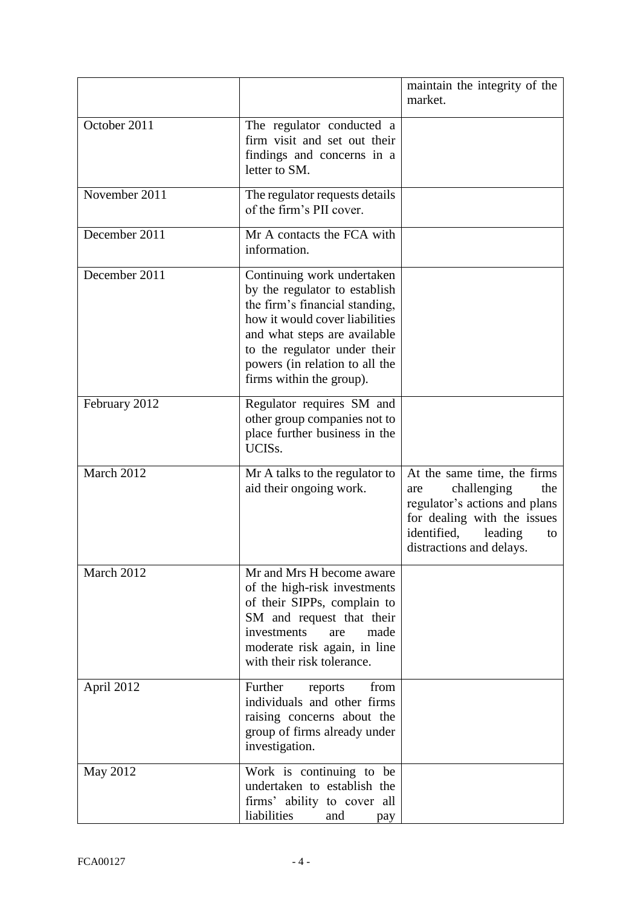|               |                                                                                                                                                                                                                                                               | maintain the integrity of the<br>market.                                                                                                                                             |
|---------------|---------------------------------------------------------------------------------------------------------------------------------------------------------------------------------------------------------------------------------------------------------------|--------------------------------------------------------------------------------------------------------------------------------------------------------------------------------------|
| October 2011  | The regulator conducted a<br>firm visit and set out their<br>findings and concerns in a<br>letter to SM.                                                                                                                                                      |                                                                                                                                                                                      |
| November 2011 | The regulator requests details<br>of the firm's PII cover.                                                                                                                                                                                                    |                                                                                                                                                                                      |
| December 2011 | Mr A contacts the FCA with<br>information.                                                                                                                                                                                                                    |                                                                                                                                                                                      |
| December 2011 | Continuing work undertaken<br>by the regulator to establish<br>the firm's financial standing,<br>how it would cover liabilities<br>and what steps are available<br>to the regulator under their<br>powers (in relation to all the<br>firms within the group). |                                                                                                                                                                                      |
| February 2012 | Regulator requires SM and<br>other group companies not to<br>place further business in the<br>UCIS <sub>s</sub> .                                                                                                                                             |                                                                                                                                                                                      |
| March 2012    | Mr A talks to the regulator to<br>aid their ongoing work.                                                                                                                                                                                                     | At the same time, the firms<br>challenging<br>the<br>are<br>regulator's actions and plans<br>for dealing with the issues<br>identified,<br>leading<br>to<br>distractions and delays. |
| March 2012    | Mr and Mrs H become aware<br>of the high-risk investments<br>of their SIPPs, complain to<br>SM and request that their<br>investments<br>made<br>are<br>moderate risk again, in line<br>with their risk tolerance.                                             |                                                                                                                                                                                      |
| April 2012    | Further<br>from<br>reports<br>individuals and other firms<br>raising concerns about the<br>group of firms already under<br>investigation.                                                                                                                     |                                                                                                                                                                                      |
| May 2012      | Work is continuing to be<br>undertaken to establish the<br>firms' ability to cover all<br>liabilities<br>and<br>pay                                                                                                                                           |                                                                                                                                                                                      |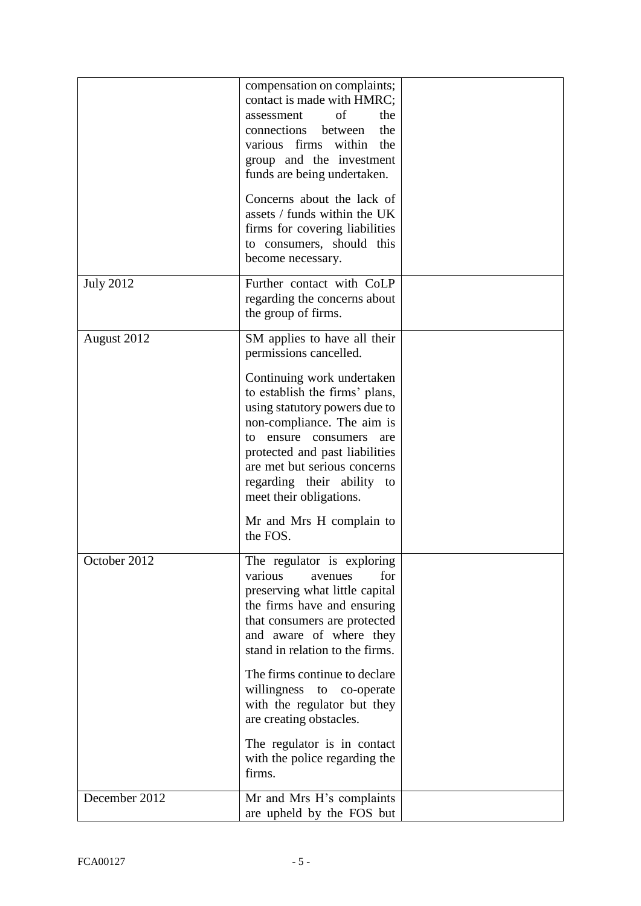|                  | compensation on complaints;<br>contact is made with HMRC;<br>of<br>the<br>assessment<br>connections between<br>the<br>various firms within the<br>group and the investment<br>funds are being undertaken.                                                                                                                                                                                                                |  |
|------------------|--------------------------------------------------------------------------------------------------------------------------------------------------------------------------------------------------------------------------------------------------------------------------------------------------------------------------------------------------------------------------------------------------------------------------|--|
|                  | Concerns about the lack of<br>assets / funds within the UK<br>firms for covering liabilities<br>to consumers, should this<br>become necessary.                                                                                                                                                                                                                                                                           |  |
| <b>July 2012</b> | Further contact with CoLP<br>regarding the concerns about<br>the group of firms.                                                                                                                                                                                                                                                                                                                                         |  |
| August 2012      | SM applies to have all their<br>permissions cancelled.<br>Continuing work undertaken<br>to establish the firms' plans,<br>using statutory powers due to<br>non-compliance. The aim is<br>ensure<br>consumers<br>to<br>are<br>protected and past liabilities<br>are met but serious concerns<br>regarding their ability to<br>meet their obligations.<br>Mr and Mrs H complain to<br>the FOS.                             |  |
| October 2012     | The regulator is exploring<br>for<br>various<br>avenues<br>preserving what little capital<br>the firms have and ensuring<br>that consumers are protected<br>and aware of where they<br>stand in relation to the firms.<br>The firms continue to declare<br>willingness to co-operate<br>with the regulator but they<br>are creating obstacles.<br>The regulator is in contact<br>with the police regarding the<br>firms. |  |
| December 2012    | Mr and Mrs H's complaints<br>are upheld by the FOS but                                                                                                                                                                                                                                                                                                                                                                   |  |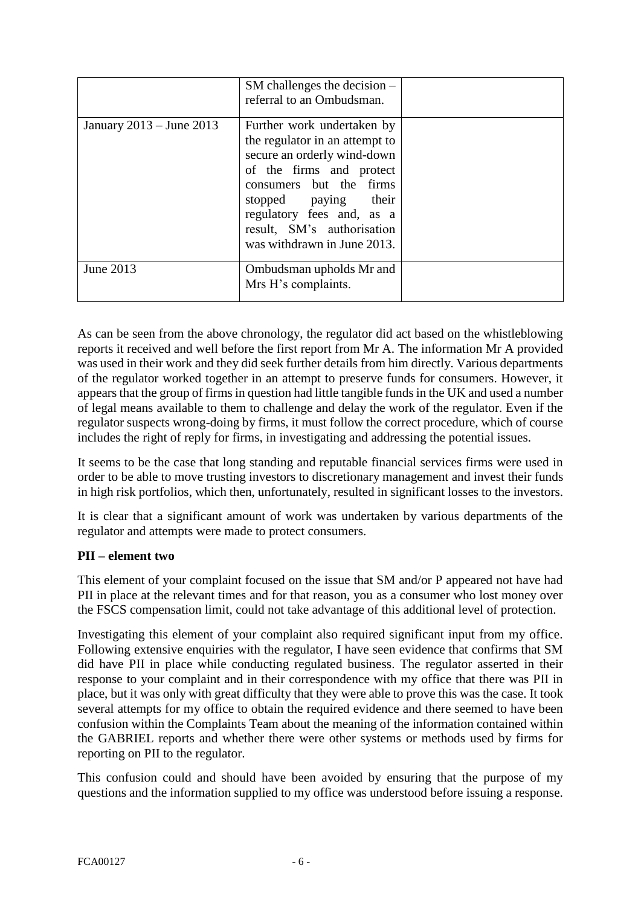|                          | $SM$ challenges the decision $-$<br>referral to an Ombudsman.                                                                                                                                                                                                        |  |
|--------------------------|----------------------------------------------------------------------------------------------------------------------------------------------------------------------------------------------------------------------------------------------------------------------|--|
| January 2013 – June 2013 | Further work undertaken by<br>the regulator in an attempt to<br>secure an orderly wind-down<br>of the firms and protect<br>consumers but the firms<br>stopped paying their<br>regulatory fees and, as a<br>result, SM's authorisation<br>was withdrawn in June 2013. |  |
| June 2013                | Ombudsman upholds Mr and<br>Mrs H's complaints.                                                                                                                                                                                                                      |  |

As can be seen from the above chronology, the regulator did act based on the whistleblowing reports it received and well before the first report from Mr A. The information Mr A provided was used in their work and they did seek further details from him directly. Various departments of the regulator worked together in an attempt to preserve funds for consumers. However, it appears that the group of firms in question had little tangible funds in the UK and used a number of legal means available to them to challenge and delay the work of the regulator. Even if the regulator suspects wrong-doing by firms, it must follow the correct procedure, which of course includes the right of reply for firms, in investigating and addressing the potential issues.

It seems to be the case that long standing and reputable financial services firms were used in order to be able to move trusting investors to discretionary management and invest their funds in high risk portfolios, which then, unfortunately, resulted in significant losses to the investors.

It is clear that a significant amount of work was undertaken by various departments of the regulator and attempts were made to protect consumers.

### **PII – element two**

This element of your complaint focused on the issue that SM and/or P appeared not have had PII in place at the relevant times and for that reason, you as a consumer who lost money over the FSCS compensation limit, could not take advantage of this additional level of protection.

Investigating this element of your complaint also required significant input from my office. Following extensive enquiries with the regulator, I have seen evidence that confirms that SM did have PII in place while conducting regulated business. The regulator asserted in their response to your complaint and in their correspondence with my office that there was PII in place, but it was only with great difficulty that they were able to prove this was the case. It took several attempts for my office to obtain the required evidence and there seemed to have been confusion within the Complaints Team about the meaning of the information contained within the GABRIEL reports and whether there were other systems or methods used by firms for reporting on PII to the regulator.

This confusion could and should have been avoided by ensuring that the purpose of my questions and the information supplied to my office was understood before issuing a response.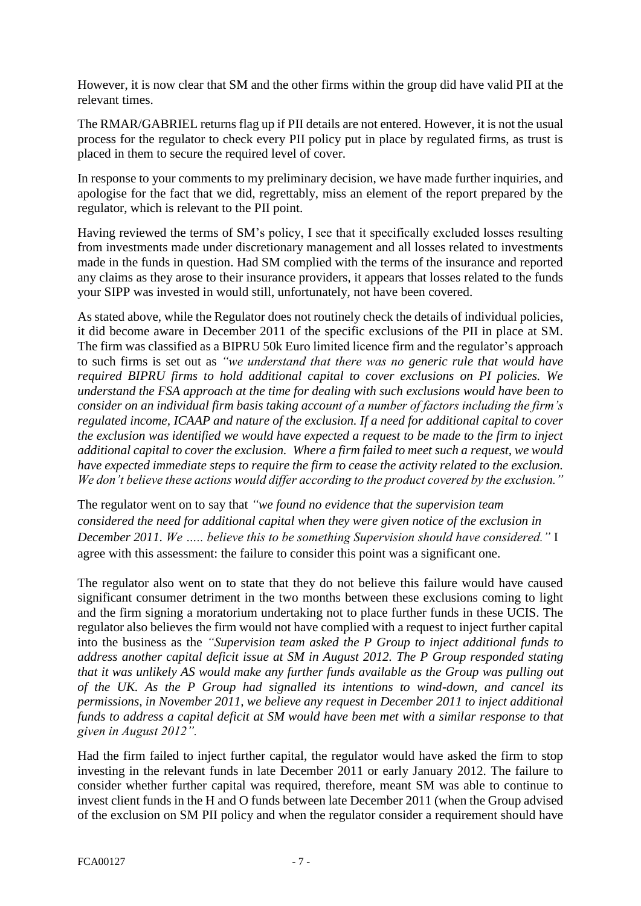However, it is now clear that SM and the other firms within the group did have valid PII at the relevant times.

The RMAR/GABRIEL returns flag up if PII details are not entered. However, it is not the usual process for the regulator to check every PII policy put in place by regulated firms, as trust is placed in them to secure the required level of cover.

In response to your comments to my preliminary decision, we have made further inquiries, and apologise for the fact that we did, regrettably, miss an element of the report prepared by the regulator, which is relevant to the PII point.

Having reviewed the terms of SM's policy, I see that it specifically excluded losses resulting from investments made under discretionary management and all losses related to investments made in the funds in question. Had SM complied with the terms of the insurance and reported any claims as they arose to their insurance providers, it appears that losses related to the funds your SIPP was invested in would still, unfortunately, not have been covered.

As stated above, while the Regulator does not routinely check the details of individual policies, it did become aware in December 2011 of the specific exclusions of the PII in place at SM. The firm was classified as a BIPRU 50k Euro limited licence firm and the regulator's approach to such firms is set out as *"we understand that there was no generic rule that would have required BIPRU firms to hold additional capital to cover exclusions on PI policies. We understand the FSA approach at the time for dealing with such exclusions would have been to consider on an individual firm basis taking account of a number of factors including the firm's regulated income, ICAAP and nature of the exclusion. If a need for additional capital to cover the exclusion was identified we would have expected a request to be made to the firm to inject additional capital to cover the exclusion. Where a firm failed to meet such a request, we would have expected immediate steps to require the firm to cease the activity related to the exclusion. We don't believe these actions would differ according to the product covered by the exclusion."*

The regulator went on to say that *"we found no evidence that the supervision team considered the need for additional capital when they were given notice of the exclusion in December 2011. We ….. believe this to be something Supervision should have considered."* I agree with this assessment: the failure to consider this point was a significant one.

The regulator also went on to state that they do not believe this failure would have caused significant consumer detriment in the two months between these exclusions coming to light and the firm signing a moratorium undertaking not to place further funds in these UCIS. The regulator also believes the firm would not have complied with a request to inject further capital into the business as the *"Supervision team asked the P Group to inject additional funds to address another capital deficit issue at SM in August 2012. The P Group responded stating that it was unlikely AS would make any further funds available as the Group was pulling out of the UK. As the P Group had signalled its intentions to wind-down, and cancel its permissions, in November 2011, we believe any request in December 2011 to inject additional funds to address a capital deficit at SM would have been met with a similar response to that given in August 2012".* 

Had the firm failed to inject further capital, the regulator would have asked the firm to stop investing in the relevant funds in late December 2011 or early January 2012. The failure to consider whether further capital was required, therefore, meant SM was able to continue to invest client funds in the H and O funds between late December 2011 (when the Group advised of the exclusion on SM PII policy and when the regulator consider a requirement should have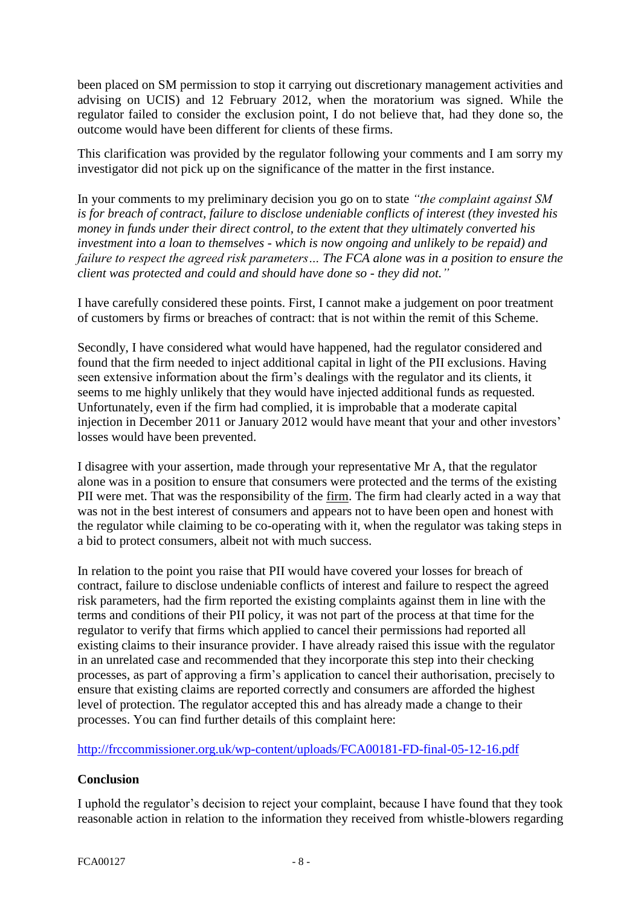been placed on SM permission to stop it carrying out discretionary management activities and advising on UCIS) and 12 February 2012, when the moratorium was signed. While the regulator failed to consider the exclusion point, I do not believe that, had they done so, the outcome would have been different for clients of these firms.

This clarification was provided by the regulator following your comments and I am sorry my investigator did not pick up on the significance of the matter in the first instance.

In your comments to my preliminary decision you go on to state *"the complaint against SM is for breach of contract, failure to disclose undeniable conflicts of interest (they invested his money in funds under their direct control, to the extent that they ultimately converted his investment into a loan to themselves - which is now ongoing and unlikely to be repaid) and failure to respect the agreed risk parameters… The FCA alone was in a position to ensure the client was protected and could and should have done so - they did not."*

I have carefully considered these points. First, I cannot make a judgement on poor treatment of customers by firms or breaches of contract: that is not within the remit of this Scheme.

Secondly, I have considered what would have happened, had the regulator considered and found that the firm needed to inject additional capital in light of the PII exclusions. Having seen extensive information about the firm's dealings with the regulator and its clients, it seems to me highly unlikely that they would have injected additional funds as requested. Unfortunately, even if the firm had complied, it is improbable that a moderate capital injection in December 2011 or January 2012 would have meant that your and other investors' losses would have been prevented.

I disagree with your assertion, made through your representative Mr A, that the regulator alone was in a position to ensure that consumers were protected and the terms of the existing PII were met. That was the responsibility of the firm. The firm had clearly acted in a way that was not in the best interest of consumers and appears not to have been open and honest with the regulator while claiming to be co-operating with it, when the regulator was taking steps in a bid to protect consumers, albeit not with much success.

In relation to the point you raise that PII would have covered your losses for breach of contract, failure to disclose undeniable conflicts of interest and failure to respect the agreed risk parameters, had the firm reported the existing complaints against them in line with the terms and conditions of their PII policy, it was not part of the process at that time for the regulator to verify that firms which applied to cancel their permissions had reported all existing claims to their insurance provider. I have already raised this issue with the regulator in an unrelated case and recommended that they incorporate this step into their checking processes, as part of approving a firm's application to cancel their authorisation, precisely to ensure that existing claims are reported correctly and consumers are afforded the highest level of protection. The regulator accepted this and has already made a change to their processes. You can find further details of this complaint here:

<http://frccommissioner.org.uk/wp-content/uploads/FCA00181-FD-final-05-12-16.pdf>

### **Conclusion**

I uphold the regulator's decision to reject your complaint, because I have found that they took reasonable action in relation to the information they received from whistle-blowers regarding